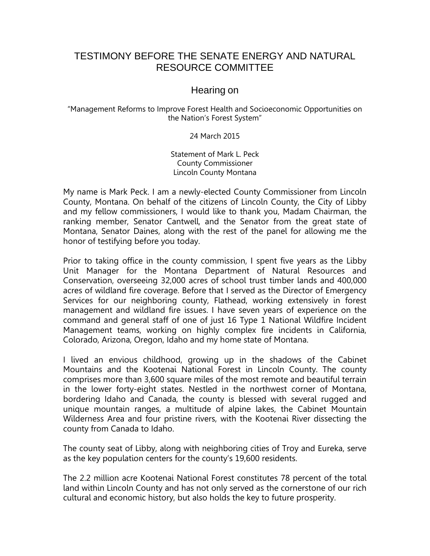## TESTIMONY BEFORE THE SENATE ENERGY AND NATURAL RESOURCE COMMITTEE

## Hearing on

"Management Reforms to Improve Forest Health and Socioeconomic Opportunities on the Nation's Forest System"

24 March 2015

Statement of Mark L. Peck County Commissioner Lincoln County Montana

My name is Mark Peck. I am a newly-elected County Commissioner from Lincoln County, Montana. On behalf of the citizens of Lincoln County, the City of Libby and my fellow commissioners, I would like to thank you, Madam Chairman, the ranking member, Senator Cantwell, and the Senator from the great state of Montana, Senator Daines, along with the rest of the panel for allowing me the honor of testifying before you today.

Prior to taking office in the county commission, I spent five years as the Libby Unit Manager for the Montana Department of Natural Resources and Conservation, overseeing 32,000 acres of school trust timber lands and 400,000 acres of wildland fire coverage. Before that I served as the Director of Emergency Services for our neighboring county, Flathead, working extensively in forest management and wildland fire issues. I have seven years of experience on the command and general staff of one of just 16 Type 1 National Wildfire Incident Management teams, working on highly complex fire incidents in California, Colorado, Arizona, Oregon, Idaho and my home state of Montana.

I lived an envious childhood, growing up in the shadows of the Cabinet Mountains and the Kootenai National Forest in Lincoln County. The county comprises more than 3,600 square miles of the most remote and beautiful terrain in the lower forty-eight states. Nestled in the northwest corner of Montana, bordering Idaho and Canada, the county is blessed with several rugged and unique mountain ranges, a multitude of alpine lakes, the Cabinet Mountain Wilderness Area and four pristine rivers, with the Kootenai River dissecting the county from Canada to Idaho.

The county seat of Libby, along with neighboring cities of Troy and Eureka, serve as the key population centers for the county's 19,600 residents.

The 2.2 million acre Kootenai National Forest constitutes 78 percent of the total land within Lincoln County and has not only served as the cornerstone of our rich cultural and economic history, but also holds the key to future prosperity.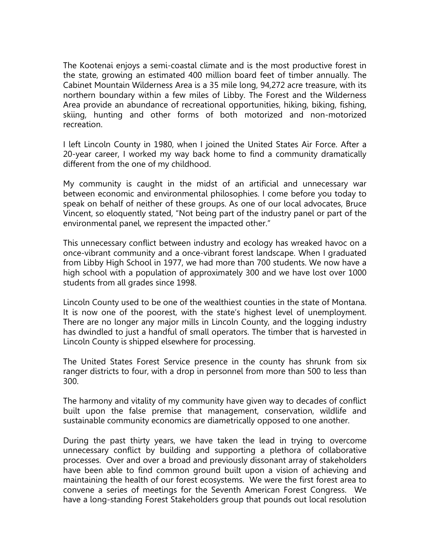The Kootenai enjoys a semi-coastal climate and is the most productive forest in the state, growing an estimated 400 million board feet of timber annually. The Cabinet Mountain Wilderness Area is a 35 mile long, 94,272 acre treasure, with its northern boundary within a few miles of Libby. The Forest and the Wilderness Area provide an abundance of recreational opportunities, hiking, biking, fishing, skiing, hunting and other forms of both motorized and non-motorized recreation.

I left Lincoln County in 1980, when I joined the United States Air Force. After a 20-year career, I worked my way back home to find a community dramatically different from the one of my childhood.

My community is caught in the midst of an artificial and unnecessary war between economic and environmental philosophies. I come before you today to speak on behalf of neither of these groups. As one of our local advocates, Bruce Vincent, so eloquently stated, "Not being part of the industry panel or part of the environmental panel, we represent the impacted other."

This unnecessary conflict between industry and ecology has wreaked havoc on a once-vibrant community and a once-vibrant forest landscape. When I graduated from Libby High School in 1977, we had more than 700 students. We now have a high school with a population of approximately 300 and we have lost over 1000 students from all grades since 1998.

Lincoln County used to be one of the wealthiest counties in the state of Montana. It is now one of the poorest, with the state's highest level of unemployment. There are no longer any major mills in Lincoln County, and the logging industry has dwindled to just a handful of small operators. The timber that is harvested in Lincoln County is shipped elsewhere for processing.

The United States Forest Service presence in the county has shrunk from six ranger districts to four, with a drop in personnel from more than 500 to less than 300.

The harmony and vitality of my community have given way to decades of conflict built upon the false premise that management, conservation, wildlife and sustainable community economics are diametrically opposed to one another.

During the past thirty years, we have taken the lead in trying to overcome unnecessary conflict by building and supporting a plethora of collaborative processes. Over and over a broad and previously dissonant array of stakeholders have been able to find common ground built upon a vision of achieving and maintaining the health of our forest ecosystems. We were the first forest area to convene a series of meetings for the Seventh American Forest Congress. We have a long-standing Forest Stakeholders group that pounds out local resolution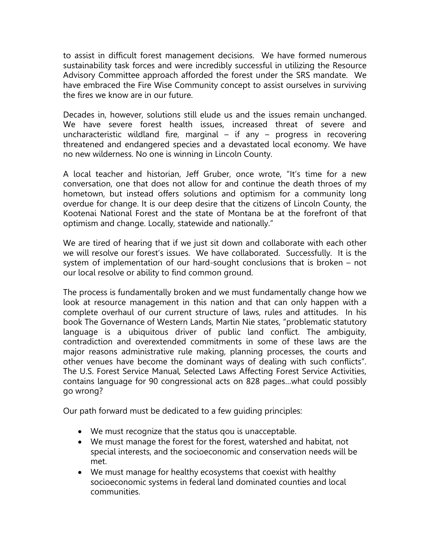to assist in difficult forest management decisions. We have formed numerous sustainability task forces and were incredibly successful in utilizing the Resource Advisory Committee approach afforded the forest under the SRS mandate. We have embraced the Fire Wise Community concept to assist ourselves in surviving the fires we know are in our future.

Decades in, however, solutions still elude us and the issues remain unchanged. We have severe forest health issues, increased threat of severe and uncharacteristic wildland fire, marginal – if any – progress in recovering threatened and endangered species and a devastated local economy. We have no new wilderness. No one is winning in Lincoln County.

A local teacher and historian, Jeff Gruber, once wrote, "It's time for a new conversation, one that does not allow for and continue the death throes of my hometown, but instead offers solutions and optimism for a community long overdue for change. It is our deep desire that the citizens of Lincoln County, the Kootenai National Forest and the state of Montana be at the forefront of that optimism and change. Locally, statewide and nationally."

We are tired of hearing that if we just sit down and collaborate with each other we will resolve our forest's issues. We have collaborated. Successfully. It is the system of implementation of our hard-sought conclusions that is broken – not our local resolve or ability to find common ground.

The process is fundamentally broken and we must fundamentally change how we look at resource management in this nation and that can only happen with a complete overhaul of our current structure of laws, rules and attitudes. In his book The Governance of Western Lands, Martin Nie states, "problematic statutory language is a ubiquitous driver of public land conflict. The ambiguity, contradiction and overextended commitments in some of these laws are the major reasons administrative rule making, planning processes, the courts and other venues have become the dominant ways of dealing with such conflicts". The U.S. Forest Service Manual, Selected Laws Affecting Forest Service Activities, contains language for 90 congressional acts on 828 pages…what could possibly go wrong?

Our path forward must be dedicated to a few guiding principles:

- We must recognize that the status qou is unacceptable.
- We must manage the forest for the forest, watershed and habitat, not special interests, and the socioeconomic and conservation needs will be met.
- We must manage for healthy ecosystems that coexist with healthy socioeconomic systems in federal land dominated counties and local communities.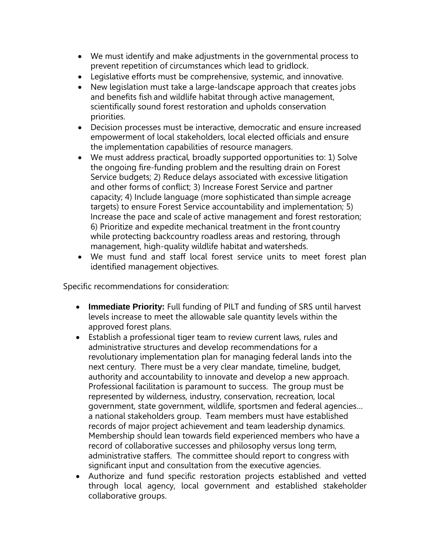- We must identify and make adjustments in the governmental process to prevent repetition of circumstances which lead to gridlock.
- Legislative efforts must be comprehensive, systemic, and innovative.
- New legislation must take a large-landscape approach that creates jobs and benefits fish and wildlife habitat through active management, scientifically sound forest restoration and upholds conservation priorities.
- Decision processes must be interactive, democratic and ensure increased empowerment of local stakeholders, local elected officials and ensure the implementation capabilities of resource managers.
- We must address practical, broadly supported opportunities to: 1) Solve the ongoing fire-funding problem and the resulting drain on Forest Service budgets; 2) Reduce delays associated with excessive litigation and other forms of conflict; 3) Increase Forest Service and partner capacity; 4) Include language (more sophisticated than simple acreage targets) to ensure Forest Service accountability and implementation; 5) Increase the pace and scale of active management and forest restoration; 6) Prioritize and expedite mechanical treatment in the front country while protecting backcountry roadless areas and restoring, through management, high-quality wildlife habitat and watersheds.
- We must fund and staff local forest service units to meet forest plan identified management objectives.

Specific recommendations for consideration:

- **Immediate Priority:** Full funding of PILT and funding of SRS until harvest levels increase to meet the allowable sale quantity levels within the approved forest plans.
- Establish a professional tiger team to review current laws, rules and administrative structures and develop recommendations for a revolutionary implementation plan for managing federal lands into the next century. There must be a very clear mandate, timeline, budget, authority and accountability to innovate and develop a new approach. Professional facilitation is paramount to success. The group must be represented by wilderness, industry, conservation, recreation, local government, state government, wildlife, sportsmen and federal agencies… a national stakeholders group. Team members must have established records of major project achievement and team leadership dynamics. Membership should lean towards field experienced members who have a record of collaborative successes and philosophy versus long term, administrative staffers. The committee should report to congress with significant input and consultation from the executive agencies.
- Authorize and fund specific restoration projects established and vetted through local agency, local government and established stakeholder collaborative groups.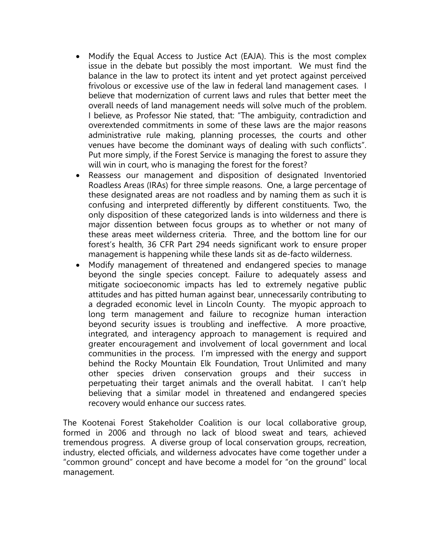- Modify the Equal Access to Justice Act (EAJA). This is the most complex issue in the debate but possibly the most important. We must find the balance in the law to protect its intent and yet protect against perceived frivolous or excessive use of the law in federal land management cases. I believe that modernization of current laws and rules that better meet the overall needs of land management needs will solve much of the problem. I believe, as Professor Nie stated, that: "The ambiguity, contradiction and overextended commitments in some of these laws are the major reasons administrative rule making, planning processes, the courts and other venues have become the dominant ways of dealing with such conflicts". Put more simply, if the Forest Service is managing the forest to assure they will win in court, who is managing the forest for the forest?
- Reassess our management and disposition of designated Inventoried Roadless Areas (IRAs) for three simple reasons. One, a large percentage of these designated areas are not roadless and by naming them as such it is confusing and interpreted differently by different constituents. Two, the only disposition of these categorized lands is into wilderness and there is major dissention between focus groups as to whether or not many of these areas meet wilderness criteria. Three, and the bottom line for our forest's health, 36 CFR Part 294 needs significant work to ensure proper management is happening while these lands sit as de-facto wilderness.
- Modify management of threatened and endangered species to manage beyond the single species concept. Failure to adequately assess and mitigate socioeconomic impacts has led to extremely negative public attitudes and has pitted human against bear, unnecessarily contributing to a degraded economic level in Lincoln County. The myopic approach to long term management and failure to recognize human interaction beyond security issues is troubling and ineffective. A more proactive, integrated, and interagency approach to management is required and greater encouragement and involvement of local government and local communities in the process. I'm impressed with the energy and support behind the Rocky Mountain Elk Foundation, Trout Unlimited and many other species driven conservation groups and their success in perpetuating their target animals and the overall habitat. I can't help believing that a similar model in threatened and endangered species recovery would enhance our success rates.

The Kootenai Forest Stakeholder Coalition is our local collaborative group, formed in 2006 and through no lack of blood sweat and tears, achieved tremendous progress. A diverse group of local conservation groups, recreation, industry, elected officials, and wilderness advocates have come together under a "common ground" concept and have become a model for "on the ground" local management.